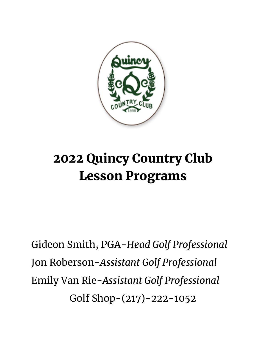

# 2022 Quincy Country Club Lesson Programs

Gideon Smith, PGA-*Head Golf Professional* Jon Roberson-*Assistant Golf Professional* Emily Van Rie-*Assistant Golf Professional* Golf Shop-(217)-222-1052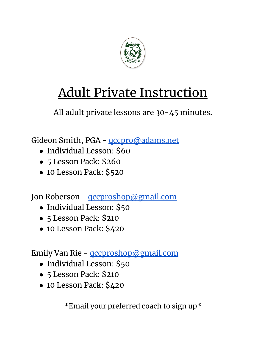

# Adult Private Instruction

All adult private lessons are 30-45 minutes.

Gideon Smith, PGA - **gccpro@adams.net** 

- Individual Lesson: \$60
- 5 Lesson Pack: \$260
- 10 Lesson Pack: \$520

Jon Roberson - **[qccproshop@gmail.com](mailto:qccproshop@gmail.com)** 

- Individual Lesson: \$50
- 5 Lesson Pack: \$210
- 10 Lesson Pack: \$420

Emily Van Rie - [qccproshop@gmail.com](mailto:qccproshop@gmail.com)

- Individual Lesson: \$50
- 5 Lesson Pack: \$210
- 10 Lesson Pack: \$420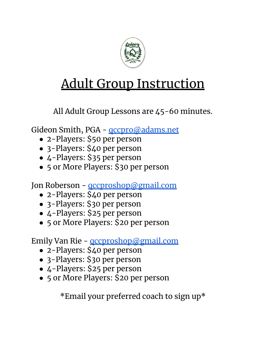

# Adult Group Instruction

All Adult Group Lessons are 45-60 minutes.

Gideon Smith, PGA - **gccpro@adams.net** 

- 2-Players: \$50 per person
- 3-Players: \$40 per person
- 4-Players: \$35 per person
- 5 or More Players: \$30 per person

Jon Roberson - **gccproshop@gmail.com** 

- 2-Players: \$40 per person
- 3-Players: \$30 per person
- 4-Players: \$25 per person
- 5 or More Players: \$20 per person

Emily Van Rie - [qccproshop@gmail.com](mailto:qccproshop@gmail.com)

- 2-Players: \$40 per person
- 3-Players: \$30 per person
- 4-Players: \$25 per person
- 5 or More Players: \$20 per person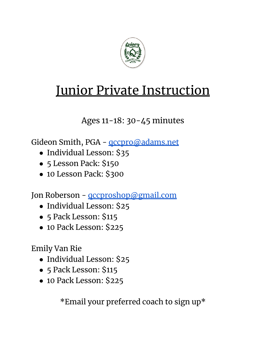

### Junior Private Instruction

Ages 11-18: 30-45 minutes

Gideon Smith, PGA - **gccpro@adams.net** 

- Individual Lesson: \$35
- 5 Lesson Pack: \$150
- 10 Lesson Pack: \$300

Jon Roberson - **gccproshop@gmail.com** 

- Individual Lesson: \$25
- 5 Pack Lesson: \$115
- 10 Pack Lesson: \$225

Emily Van Rie

- Individual Lesson: \$25
- 5 Pack Lesson: \$115
- 10 Pack Lesson: \$225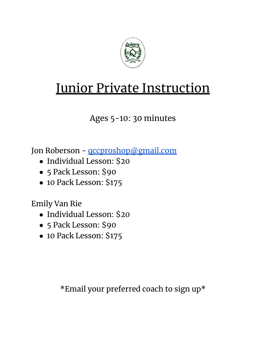

# **Junior Private Instruction**

Ages 5-10: 30 minutes

Jon Roberson - **gccproshop@gmail.com** 

- Individual Lesson: \$20
- 5 Pack Lesson: \$90
- 10 Pack Lesson: \$175

Emily Van Rie

- Individual Lesson: \$20
- 5 Pack Lesson: \$90
- 10 Pack Lesson: \$175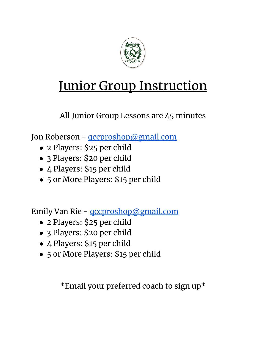

# Junior Group Instruction

All Junior Group Lessons are 45 minutes

Jon Roberson - **gccproshop@gmail.com** 

- 2 Players: \$25 per child
- 3 Players: \$20 per child
- 4 Players: \$15 per child
- 5 or More Players: \$15 per child

Emily Van Rie - [qccproshop@gmail.com](mailto:qccproshop@gmail.com)

- 2 Players: \$25 per child
- 3 Players: \$20 per child
- 4 Players: \$15 per child
- 5 or More Players: \$15 per child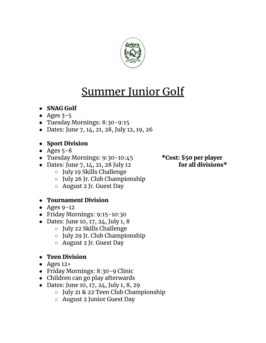

### Summer Junior Golf

- SNAG Golf
- Ages  $3-5$
- Tuesday Mornings: 8:30-9:15
- Dates: June 7, 14, 21, 28, July 12, 19, 26

#### ● Sport Division

- Ages  $5-8$
- Tuesday Mornings: 9:30-10:45 \* \* Cost: \$50 per player
- Dates: June 7, 14, 21, 28 July 12 for all divisions $*$ 
	- July 19 Skills Challenge
	- July 26 Jr. Club Championship
	- August 2 Jr. Guest Day

#### ● Tournament Division

- $\bullet$  Ages 9-12
- Friday Mornings: 9:15-10:30
- Dates: June 10, 17, 24, July 1, 8
	- July 22 Skills Challenge
	- July 29 Jr. Club Championship
	- August 2 Jr. Guest Day

### ● Teen Division

- $\bullet$  Ages 12+
- Friday Mornings: 8:30-9 Clinic
- Children can go play afterwards
- Dates: June 10, 17, 24, July 1, 8, 29
	- July 21 & 22 Teen Club Championship
	- August 2 Junior Guest Day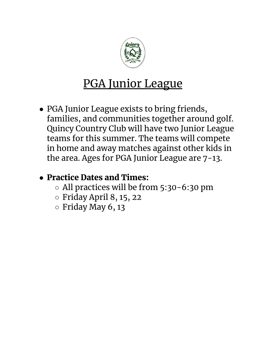

### PGA Junior League

• PGA Junior League exists to bring friends, families, and communities together around golf. Quincy Country Club will have two Junior League teams for this summer. The teams will compete in home and away matches against other kids in the area. Ages for PGA Junior League are 7-13.

### ● Practice Dates and Times:

- All practices will be from 5:30-6:30 pm
- $\circ$  Friday April 8, 15, 22
- $\circ$  Friday May 6, 13